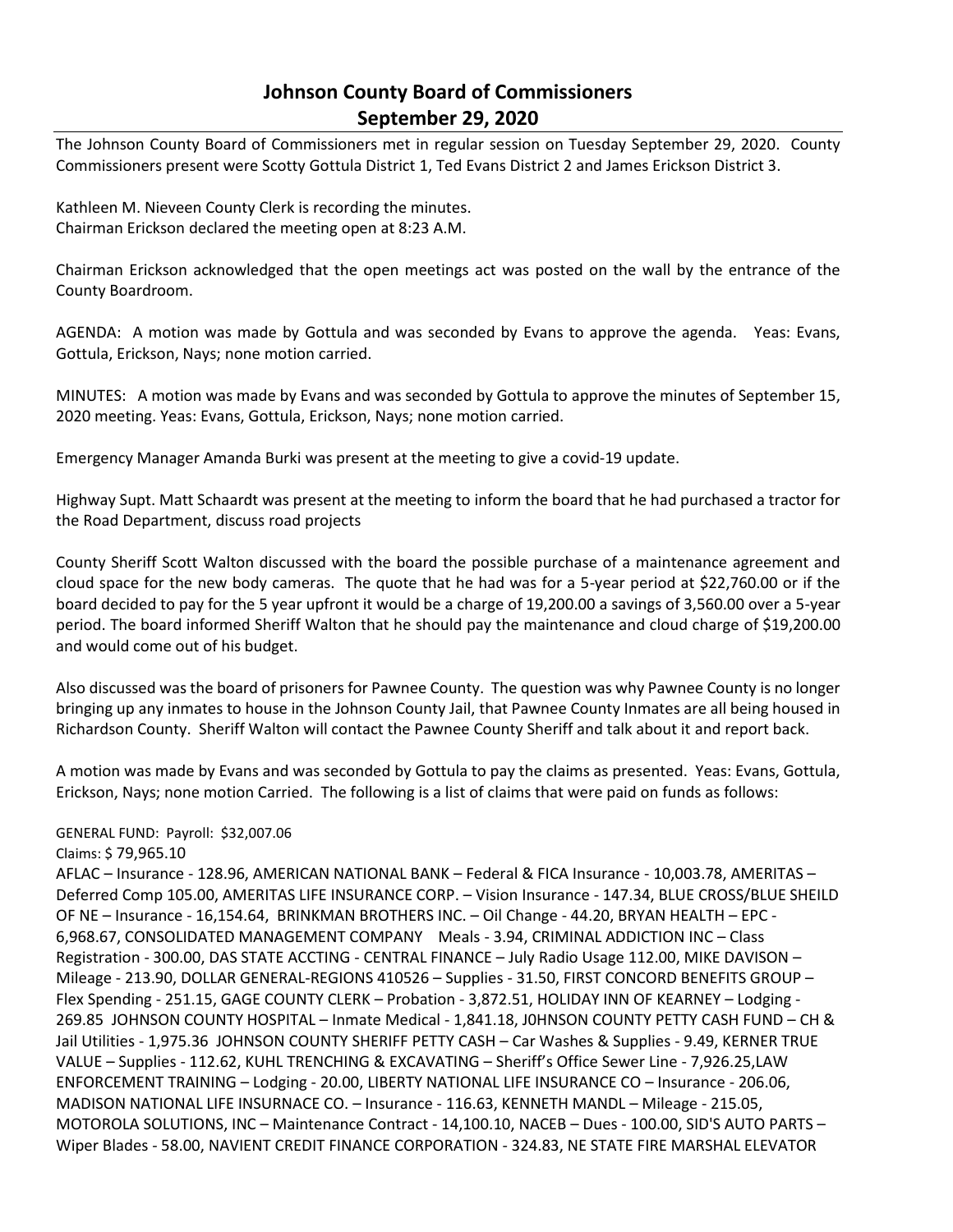## **Johnson County Board of Commissioners September 29, 2020**

The Johnson County Board of Commissioners met in regular session on Tuesday September 29, 2020. County Commissioners present were Scotty Gottula District 1, Ted Evans District 2 and James Erickson District 3.

Kathleen M. Nieveen County Clerk is recording the minutes. Chairman Erickson declared the meeting open at 8:23 A.M.

Chairman Erickson acknowledged that the open meetings act was posted on the wall by the entrance of the County Boardroom.

AGENDA: A motion was made by Gottula and was seconded by Evans to approve the agenda. Yeas: Evans, Gottula, Erickson, Nays; none motion carried.

MINUTES: A motion was made by Evans and was seconded by Gottula to approve the minutes of September 15, 2020 meeting. Yeas: Evans, Gottula, Erickson, Nays; none motion carried.

Emergency Manager Amanda Burki was present at the meeting to give a covid-19 update.

Highway Supt. Matt Schaardt was present at the meeting to inform the board that he had purchased a tractor for the Road Department, discuss road projects

County Sheriff Scott Walton discussed with the board the possible purchase of a maintenance agreement and cloud space for the new body cameras. The quote that he had was for a 5-year period at \$22,760.00 or if the board decided to pay for the 5 year upfront it would be a charge of 19,200.00 a savings of 3,560.00 over a 5-year period. The board informed Sheriff Walton that he should pay the maintenance and cloud charge of \$19,200.00 and would come out of his budget.

Also discussed was the board of prisoners for Pawnee County. The question was why Pawnee County is no longer bringing up any inmates to house in the Johnson County Jail, that Pawnee County Inmates are all being housed in Richardson County. Sheriff Walton will contact the Pawnee County Sheriff and talk about it and report back.

A motion was made by Evans and was seconded by Gottula to pay the claims as presented. Yeas: Evans, Gottula, Erickson, Nays; none motion Carried. The following is a list of claims that were paid on funds as follows:

## GENERAL FUND: Payroll: \$32,007.06

## Claims: \$ 79,965.10

AFLAC – Insurance - 128.96, AMERICAN NATIONAL BANK – Federal & FICA Insurance - 10,003.78, AMERITAS – Deferred Comp 105.00, AMERITAS LIFE INSURANCE CORP. – Vision Insurance - 147.34, BLUE CROSS/BLUE SHEILD OF NE – Insurance - 16,154.64, BRINKMAN BROTHERS INC. – Oil Change - 44.20, BRYAN HEALTH – EPC - 6,968.67, CONSOLIDATED MANAGEMENT COMPANY Meals - 3.94, CRIMINAL ADDICTION INC – Class Registration - 300.00, DAS STATE ACCTING - CENTRAL FINANCE – July Radio Usage 112.00, MIKE DAVISON – Mileage - 213.90, DOLLAR GENERAL-REGIONS 410526 – Supplies - 31.50, FIRST CONCORD BENEFITS GROUP – Flex Spending - 251.15, GAGE COUNTY CLERK – Probation - 3,872.51, HOLIDAY INN OF KEARNEY – Lodging - 269.85 JOHNSON COUNTY HOSPITAL – Inmate Medical - 1,841.18, J0HNSON COUNTY PETTY CASH FUND – CH & Jail Utilities - 1,975.36 JOHNSON COUNTY SHERIFF PETTY CASH – Car Washes & Supplies - 9.49, KERNER TRUE VALUE – Supplies - 112.62, KUHL TRENCHING & EXCAVATING – Sheriff's Office Sewer Line - 7,926.25,LAW ENFORCEMENT TRAINING – Lodging - 20.00, LIBERTY NATIONAL LIFE INSURANCE CO – Insurance - 206.06, MADISON NATIONAL LIFE INSURNACE CO. – Insurance - 116.63, KENNETH MANDL – Mileage - 215.05, MOTOROLA SOLUTIONS, INC – Maintenance Contract - 14,100.10, NACEB – Dues - 100.00, SID'S AUTO PARTS – Wiper Blades - 58.00, NAVIENT CREDIT FINANCE CORPORATION - 324.83, NE STATE FIRE MARSHAL ELEVATOR